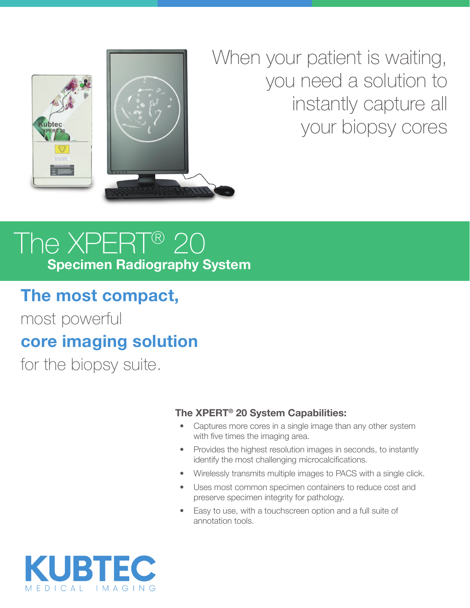

When your patient is waiting, you need a solution to instantly capture all your biopsy cores

# The XPERT® 20 **Specimen Radiography System**

### **The most compact,**

most powerful **core imaging solution**

for the biopsy suite.

#### **The XPERT® 20 System Capabilities:**

- Captures more cores in a single image than any other system with five times the imaging area.
- Provides the highest resolution images in seconds, to instantly identify the most challenging microcalcifications.
- Wirelessly transmits multiple images to PACS with a single click.
- Uses most common specimen containers to reduce cost and preserve specimen integrity for pathology.
- Easy to use, with a touchscreen option and a full suite of annotation tools.